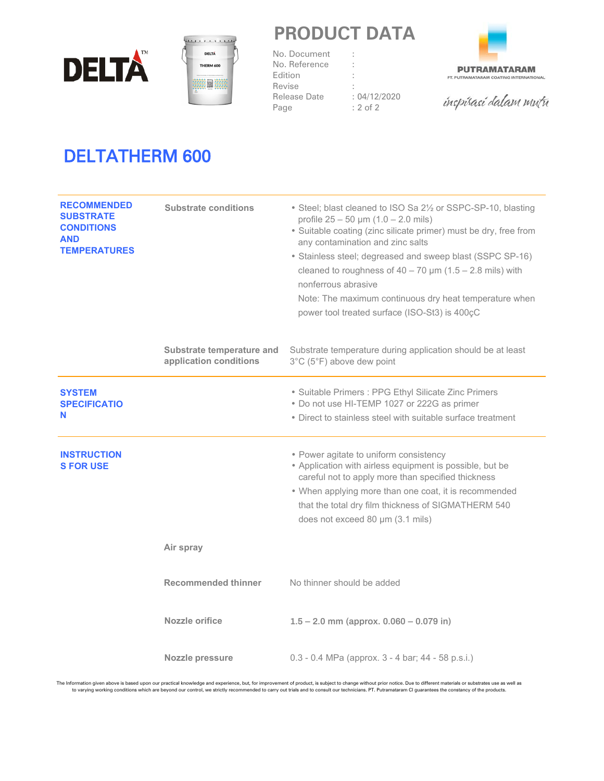



## **PRODUCT DATA**

RI

No. Document No. Reference Edition Revise Release Date Page



inspirasi dalam mutu

# DELTATHERM 600

| <b>RECOMMENDED</b><br><b>SUBSTRATE</b><br><b>CONDITIONS</b><br><b>AND</b><br><b>TEMPERATURES</b> | <b>Substrate conditions</b>                         | • Steel; blast cleaned to ISO Sa 21/2 or SSPC-SP-10, blasting<br>profile $25 - 50 \mu m (1.0 - 2.0 \text{ miles})$<br>· Suitable coating (zinc silicate primer) must be dry, free from<br>any contamination and zinc salts<br>• Stainless steel; degreased and sweep blast (SSPC SP-16)<br>cleaned to roughness of $40 - 70$ µm (1.5 - 2.8 mils) with<br>nonferrous abrasive<br>Note: The maximum continuous dry heat temperature when<br>power tool treated surface (ISO-St3) is 400cC |
|--------------------------------------------------------------------------------------------------|-----------------------------------------------------|-----------------------------------------------------------------------------------------------------------------------------------------------------------------------------------------------------------------------------------------------------------------------------------------------------------------------------------------------------------------------------------------------------------------------------------------------------------------------------------------|
|                                                                                                  | Substrate temperature and<br>application conditions | Substrate temperature during application should be at least<br>3°C (5°F) above dew point                                                                                                                                                                                                                                                                                                                                                                                                |
| <b>SYSTEM</b><br><b>SPECIFICATIO</b><br>N                                                        |                                                     | • Suitable Primers : PPG Ethyl Silicate Zinc Primers<br>• Do not use HI-TEMP 1027 or 222G as primer<br>• Direct to stainless steel with suitable surface treatment                                                                                                                                                                                                                                                                                                                      |
| <b>INSTRUCTION</b><br><b>S FOR USE</b>                                                           |                                                     | • Power agitate to uniform consistency<br>• Application with airless equipment is possible, but be<br>careful not to apply more than specified thickness<br>• When applying more than one coat, it is recommended<br>that the total dry film thickness of SIGMATHERM 540<br>does not exceed 80 µm (3.1 mils)                                                                                                                                                                            |
|                                                                                                  | Air spray                                           |                                                                                                                                                                                                                                                                                                                                                                                                                                                                                         |
|                                                                                                  | <b>Recommended thinner</b>                          | No thinner should be added                                                                                                                                                                                                                                                                                                                                                                                                                                                              |
|                                                                                                  | Nozzle orifice                                      | $1.5 - 2.0$ mm (approx. $0.060 - 0.079$ in)                                                                                                                                                                                                                                                                                                                                                                                                                                             |
|                                                                                                  | Nozzle pressure                                     | 0.3 - 0.4 MPa (approx. 3 - 4 bar; 44 - 58 p.s.i.)                                                                                                                                                                                                                                                                                                                                                                                                                                       |

The Information given above is based upon our practical knowledge and experience, but, for improvement of product, is subject to change without prior notice. Due to different materials or substrates use as well as<br>to varyi